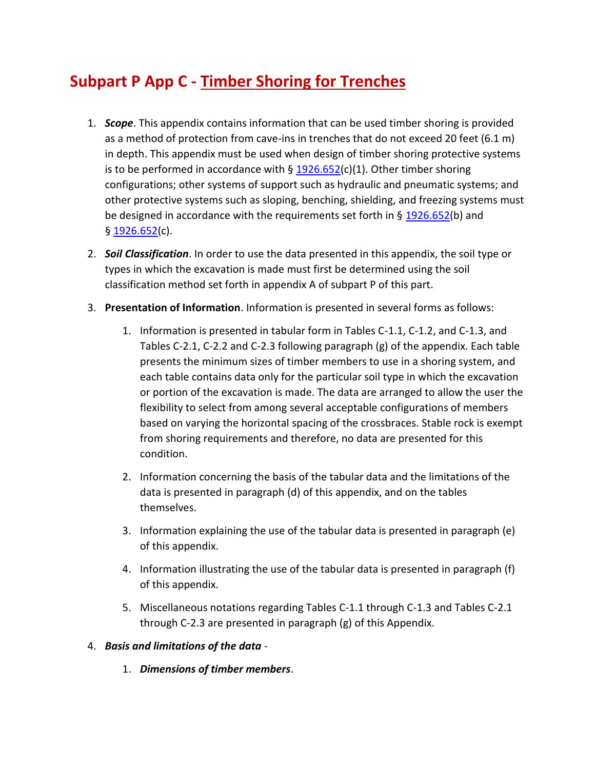# **Subpart P App C - Timber Shoring for Trenches**

- 1. *Scope*. This appendix contains information that can be used timber shoring is provided as a method of protection from cave-ins in trenches that do not exceed 20 feet (6.1 m) in depth. This appendix must be used when design of timber shoring protective systems is to be performed in accordance with  $\S$  [1926.652\(](https://up.codes/viewer/osha-1926-construction/chapter/P/excavations#1926.652)c)(1). Other timber shoring configurations; other systems of support such as hydraulic and pneumatic systems; and other protective systems such as sloping, benching, shielding, and freezing systems must be designed in accordance with the requirements set forth in  $\S$  [1926.652\(](https://up.codes/viewer/osha-1926-construction/chapter/P/excavations#1926.652)b) and § [1926.652\(](https://up.codes/viewer/osha-1926-construction/chapter/P/excavations#1926.652)c).
- 2. *Soil Classification*. In order to use the data presented in this appendix, the soil type or types in which the excavation is made must first be determined using the soil classification method set forth in appendix A of subpart P of this part.
- 3. **Presentation of Information**. Information is presented in several forms as follows:
	- 1. Information is presented in tabular form in Tables C-1.1, C-1.2, and C-1.3, and Tables C-2.1, C-2.2 and C-2.3 following paragraph (g) of the appendix. Each table presents the minimum sizes of timber members to use in a shoring system, and each table contains data only for the particular soil type in which the excavation or portion of the excavation is made. The data are arranged to allow the user the flexibility to select from among several acceptable configurations of members based on varying the horizontal spacing of the crossbraces. Stable rock is exempt from shoring requirements and therefore, no data are presented for this condition.
	- 2. Information concerning the basis of the tabular data and the limitations of the data is presented in paragraph (d) of this appendix, and on the tables themselves.
	- 3. Information explaining the use of the tabular data is presented in paragraph (e) of this appendix.
	- 4. Information illustrating the use of the tabular data is presented in paragraph (f) of this appendix.
	- 5. Miscellaneous notations regarding Tables C-1.1 through C-1.3 and Tables C-2.1 through C-2.3 are presented in paragraph (g) of this Appendix.

# 4. *Basis and limitations of the data* -

1. *Dimensions of timber members*.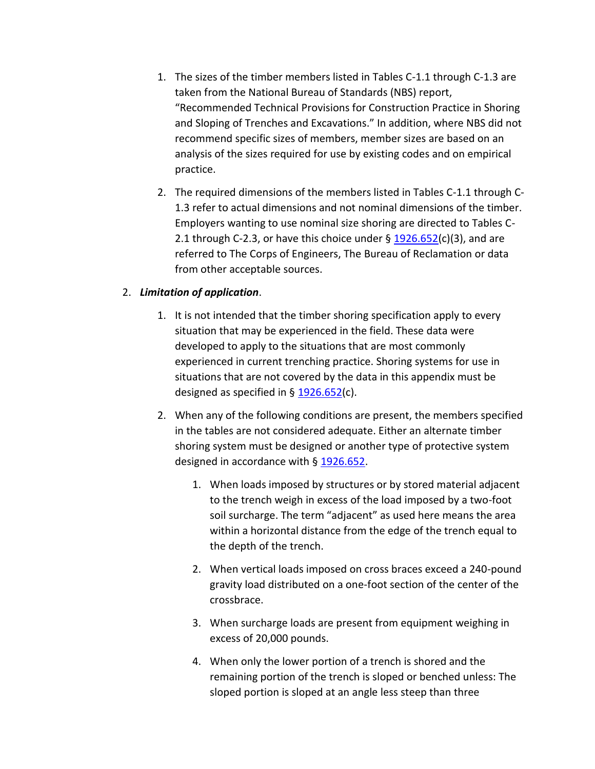- 1. The sizes of the timber members listed in Tables C-1.1 through C-1.3 are taken from the National Bureau of Standards (NBS) report, "Recommended Technical Provisions for Construction Practice in Shoring and Sloping of Trenches and Excavations." In addition, where NBS did not recommend specific sizes of members, member sizes are based on an analysis of the sizes required for use by existing codes and on empirical practice.
- 2. The required dimensions of the members listed in Tables C-1.1 through C-1.3 refer to actual dimensions and not nominal dimensions of the timber. Employers wanting to use nominal size shoring are directed to Tables C-2.1 through C-2.3, or have this choice under  $\S$   $1926.652(c)(3)$  $1926.652(c)(3)$ , and are referred to The Corps of Engineers, The Bureau of Reclamation or data from other acceptable sources.

### 2. *Limitation of application*.

- 1. It is not intended that the timber shoring specification apply to every situation that may be experienced in the field. These data were developed to apply to the situations that are most commonly experienced in current trenching practice. Shoring systems for use in situations that are not covered by the data in this appendix must be designed as specified in  $\S$  [1926.652\(](https://up.codes/viewer/osha-1926-construction/chapter/P/excavations#1926.652)c).
- 2. When any of the following conditions are present, the members specified in the tables are not considered adequate. Either an alternate timber shoring system must be designed or another type of protective system designed in accordance with § [1926.652.](https://up.codes/viewer/osha-1926-construction/chapter/P/excavations#1926.652)
	- 1. When loads imposed by structures or by stored material adjacent to the trench weigh in excess of the load imposed by a two-foot soil surcharge. The term "adjacent" as used here means the area within a horizontal distance from the edge of the trench equal to the depth of the trench.
	- 2. When vertical loads imposed on cross braces exceed a 240-pound gravity load distributed on a one-foot section of the center of the crossbrace.
	- 3. When surcharge loads are present from equipment weighing in excess of 20,000 pounds.
	- 4. When only the lower portion of a trench is shored and the remaining portion of the trench is sloped or benched unless: The sloped portion is sloped at an angle less steep than three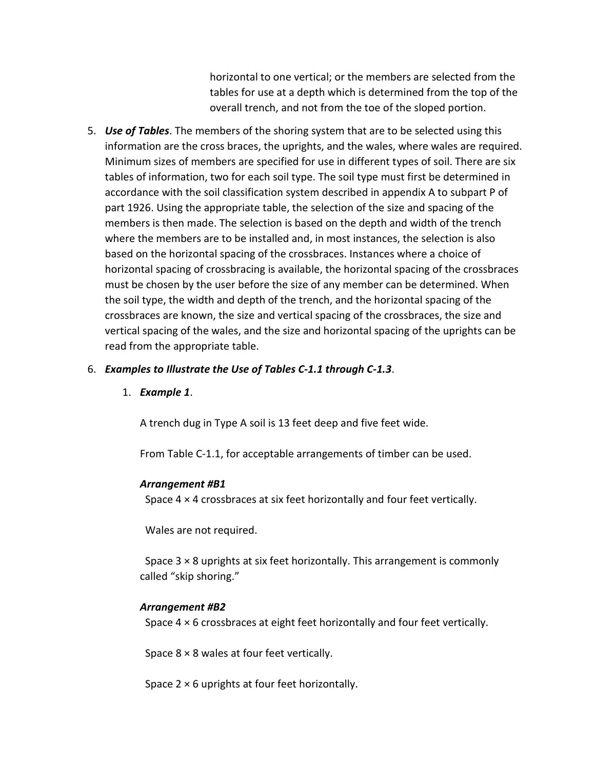horizontal to one vertical; or the members are selected from the tables for use at a depth which is determined from the top of the overall trench, and not from the toe of the sloped portion.

- 5. *Use of Tables*. The members of the shoring system that are to be selected using this information are the cross braces, the uprights, and the wales, where wales are required. Minimum sizes of members are specified for use in different types of soil. There are six tables of information, two for each soil type. The soil type must first be determined in accordance with the soil classification system described in appendix A to subpart P of part 1926. Using the appropriate table, the selection of the size and spacing of the members is then made. The selection is based on the depth and width of the trench where the members are to be installed and, in most instances, the selection is also based on the horizontal spacing of the crossbraces. Instances where a choice of horizontal spacing of crossbracing is available, the horizontal spacing of the crossbraces must be chosen by the user before the size of any member can be determined. When the soil type, the width and depth of the trench, and the horizontal spacing of the crossbraces are known, the size and vertical spacing of the crossbraces, the size and vertical spacing of the wales, and the size and horizontal spacing of the uprights can be read from the appropriate table.
- 6. *Examples to Illustrate the Use of Tables C-1.1 through C-1.3*.
	- 1. *Example 1*.

A trench dug in Type A soil is 13 feet deep and five feet wide.

From Table C-1.1, for acceptable arrangements of timber can be used.

#### *Arrangement #B1*

Space 4 × 4 crossbraces at six feet horizontally and four feet vertically.

Wales are not required.

 Space 3 × 8 uprights at six feet horizontally. This arrangement is commonly called "skip shoring."

#### *Arrangement #B2*

Space 4 × 6 crossbraces at eight feet horizontally and four feet vertically.

Space  $8 \times 8$  wales at four feet vertically.

Space  $2 \times 6$  uprights at four feet horizontally.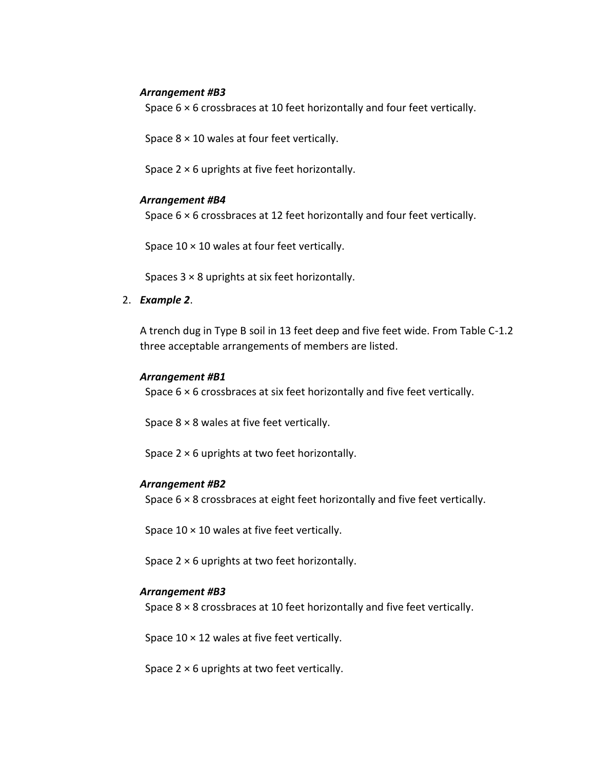#### *Arrangement #B3*

Space 6 × 6 crossbraces at 10 feet horizontally and four feet vertically.

Space  $8 \times 10$  wales at four feet vertically.

Space  $2 \times 6$  uprights at five feet horizontally.

#### *Arrangement #B4*

Space 6 × 6 crossbraces at 12 feet horizontally and four feet vertically.

Space  $10 \times 10$  wales at four feet vertically.

Spaces  $3 \times 8$  uprights at six feet horizontally.

2. *Example 2*.

A trench dug in Type B soil in 13 feet deep and five feet wide. From Table C-1.2 three acceptable arrangements of members are listed.

#### *Arrangement #B1*

Space 6 × 6 crossbraces at six feet horizontally and five feet vertically.

Space  $8 \times 8$  wales at five feet vertically.

Space 2 × 6 uprights at two feet horizontally.

#### *Arrangement #B2*

Space 6 × 8 crossbraces at eight feet horizontally and five feet vertically.

Space  $10 \times 10$  wales at five feet vertically.

Space  $2 \times 6$  uprights at two feet horizontally.

#### *Arrangement #B3*

Space 8 × 8 crossbraces at 10 feet horizontally and five feet vertically.

Space  $10 \times 12$  wales at five feet vertically.

Space  $2 \times 6$  uprights at two feet vertically.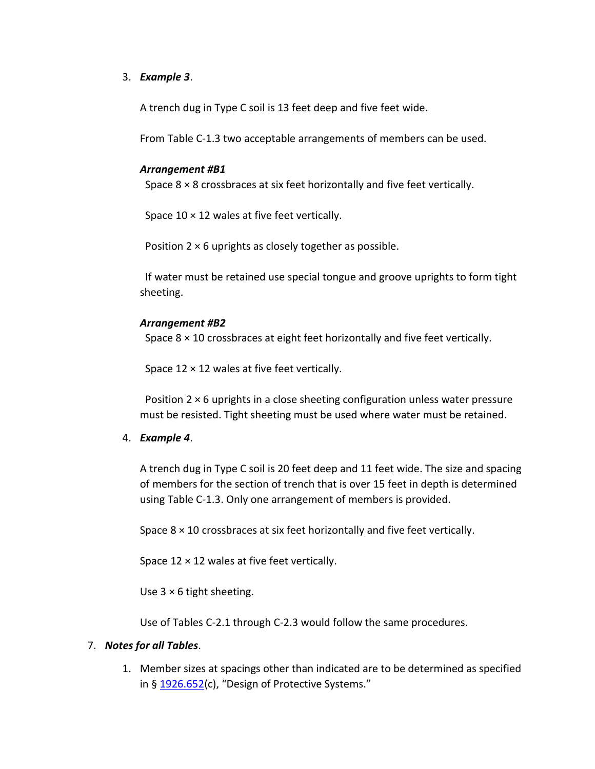#### 3. *Example 3*.

A trench dug in Type C soil is 13 feet deep and five feet wide.

From Table C-1.3 two acceptable arrangements of members can be used.

#### *Arrangement #B1*

Space 8 × 8 crossbraces at six feet horizontally and five feet vertically.

Space  $10 \times 12$  wales at five feet vertically.

Position  $2 \times 6$  uprights as closely together as possible.

 If water must be retained use special tongue and groove uprights to form tight sheeting.

#### *Arrangement #B2*

Space 8 × 10 crossbraces at eight feet horizontally and five feet vertically.

Space  $12 \times 12$  wales at five feet vertically.

Position  $2 \times 6$  uprights in a close sheeting configuration unless water pressure must be resisted. Tight sheeting must be used where water must be retained.

#### 4. *Example 4*.

A trench dug in Type C soil is 20 feet deep and 11 feet wide. The size and spacing of members for the section of trench that is over 15 feet in depth is determined using Table C-1.3. Only one arrangement of members is provided.

Space 8 × 10 crossbraces at six feet horizontally and five feet vertically.

Space  $12 \times 12$  wales at five feet vertically.

Use  $3 \times 6$  tight sheeting.

Use of Tables C-2.1 through C-2.3 would follow the same procedures.

#### 7. *Notes for all Tables*.

1. Member sizes at spacings other than indicated are to be determined as specified in § [1926.652](https://up.codes/viewer/osha-1926-construction/chapter/P/excavations#1926.652)(c), "Design of Protective Systems."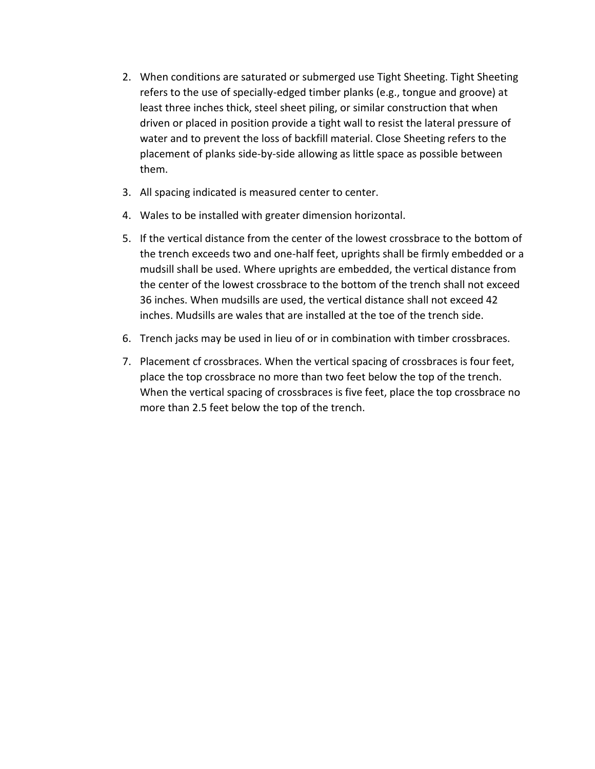- 2. When conditions are saturated or submerged use Tight Sheeting. Tight Sheeting refers to the use of specially-edged timber planks (e.g., tongue and groove) at least three inches thick, steel sheet piling, or similar construction that when driven or placed in position provide a tight wall to resist the lateral pressure of water and to prevent the loss of backfill material. Close Sheeting refers to the placement of planks side-by-side allowing as little space as possible between them.
- 3. All spacing indicated is measured center to center.
- 4. Wales to be installed with greater dimension horizontal.
- 5. If the vertical distance from the center of the lowest crossbrace to the bottom of the trench exceeds two and one-half feet, uprights shall be firmly embedded or a mudsill shall be used. Where uprights are embedded, the vertical distance from the center of the lowest crossbrace to the bottom of the trench shall not exceed 36 inches. When mudsills are used, the vertical distance shall not exceed 42 inches. Mudsills are wales that are installed at the toe of the trench side.
- 6. Trench jacks may be used in lieu of or in combination with timber crossbraces.
- 7. Placement cf crossbraces. When the vertical spacing of crossbraces is four feet, place the top crossbrace no more than two feet below the top of the trench. When the vertical spacing of crossbraces is five feet, place the top crossbrace no more than 2.5 feet below the top of the trench.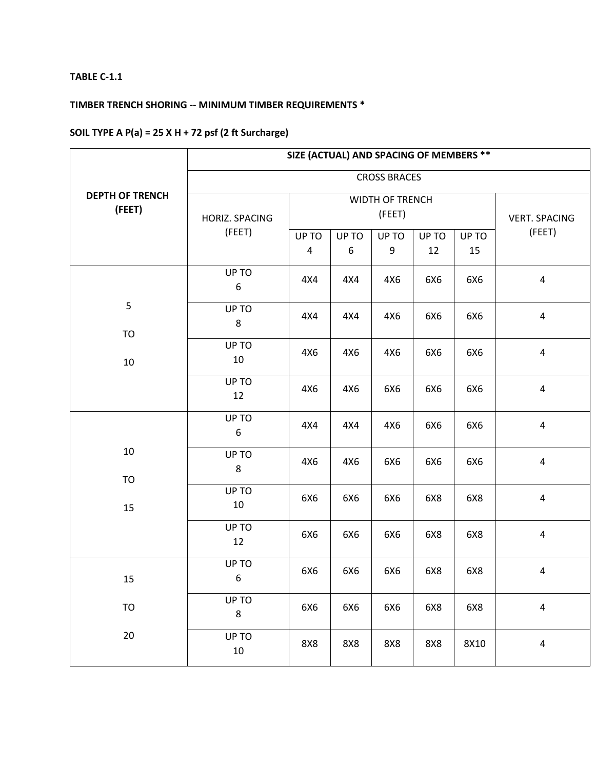# **TIMBER TRENCH SHORING -- MINIMUM TIMBER REQUIREMENTS \***

# **SOIL TYPE A P(a) = 25 X H + 72 psf (2 ft Surcharge)**

|                                  | SIZE (ACTUAL) AND SPACING OF MEMBERS ** |            |                 |                      |             |             |                         |  |  |
|----------------------------------|-----------------------------------------|------------|-----------------|----------------------|-------------|-------------|-------------------------|--|--|
|                                  |                                         |            |                 | <b>CROSS BRACES</b>  |             |             |                         |  |  |
| <b>DEPTH OF TRENCH</b><br>(FEET) | HORIZ. SPACING                          |            | WIDTH OF TRENCH | <b>VERT. SPACING</b> |             |             |                         |  |  |
|                                  | (FEET)                                  | UP TO<br>4 | UP TO<br>6      | UP TO<br>9           | UP TO<br>12 | UP TO<br>15 | (FEET)                  |  |  |
|                                  | UP TO<br>$\boldsymbol{6}$               | 4X4        | 4X4             | 4X6                  | 6X6         | 6X6         | $\pmb{4}$               |  |  |
| 5<br><b>TO</b>                   | UP TO<br>8                              | 4X4        | 4X4             | 4X6                  | 6X6         | 6X6         | $\overline{a}$          |  |  |
| 10                               | UP TO<br>10                             | 4X6        | 4X6             | 4X6                  | 6X6         | 6X6         | $\overline{\mathbf{4}}$ |  |  |
|                                  | UP TO<br>12                             | 4X6        | 4X6             | 6X6                  | 6X6         | 6X6         | $\overline{\mathbf{4}}$ |  |  |
|                                  | UP TO<br>$\boldsymbol{6}$               | 4X4        | 4X4             | 4X6                  | 6X6         | 6X6         | $\overline{\mathbf{4}}$ |  |  |
| 10<br>TO                         | UP TO<br>8                              | 4X6        | 4X6             | 6X6                  | 6X6         | 6X6         | $\overline{\mathbf{4}}$ |  |  |
| 15                               | UP TO<br>10                             | 6X6        | 6X6             | 6X6                  | 6X8         | 6X8         | $\overline{\mathbf{4}}$ |  |  |
|                                  | UP TO<br>12                             | 6X6        | 6X6             | 6X6                  | 6X8         | 6X8         | $\pmb{4}$               |  |  |
| 15                               | UP TO<br>$\boldsymbol{6}$               | 6X6        | 6X6             | 6X6                  | 6X8         | 6X8         | $\pmb{4}$               |  |  |
| <b>TO</b>                        | UP TO<br>$\bf 8$                        | 6X6        | 6X6             | 6X6                  | 6X8         | 6X8         | $\pmb{4}$               |  |  |
| $20\,$                           | UP TO<br>$10\,$                         | 8X8        | 8X8             | 8X8                  | <b>8X8</b>  | 8X10        | $\pmb{4}$               |  |  |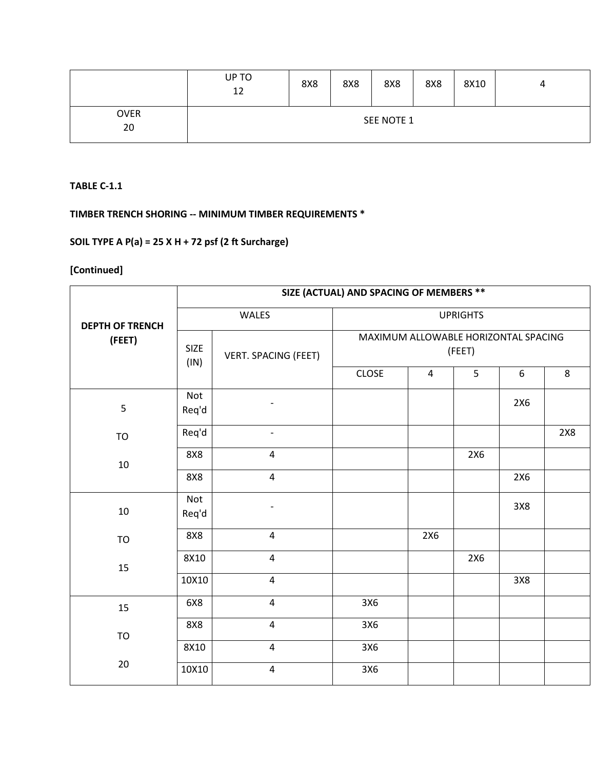|                   | UP TO<br>12 | <b>8X8</b> | 8X8 | 8X8        | 8X8 | 8X10 | 4 |
|-------------------|-------------|------------|-----|------------|-----|------|---|
| <b>OVER</b><br>20 |             |            |     | SEE NOTE 1 |     |      |   |

**TIMBER TRENCH SHORING -- MINIMUM TIMBER REQUIREMENTS \***

# **SOIL TYPE A P(a) = 25 X H + 72 psf (2 ft Surcharge)**

|                        | SIZE (ACTUAL) AND SPACING OF MEMBERS ** |                          |                                                |     |     |     |     |  |  |
|------------------------|-----------------------------------------|--------------------------|------------------------------------------------|-----|-----|-----|-----|--|--|
| <b>DEPTH OF TRENCH</b> |                                         | WALES                    | <b>UPRIGHTS</b>                                |     |     |     |     |  |  |
| (FEET)                 | <b>SIZE</b><br>(IN)                     | VERT. SPACING (FEET)     | MAXIMUM ALLOWABLE HORIZONTAL SPACING<br>(FEET) |     |     |     |     |  |  |
|                        |                                         |                          | <b>CLOSE</b>                                   | 4   | 5   | 6   | 8   |  |  |
| 5                      | Not<br>Req'd                            |                          |                                                |     |     | 2X6 |     |  |  |
| <b>TO</b>              | Req'd                                   | $\overline{\phantom{a}}$ |                                                |     |     |     | 2X8 |  |  |
| $10\,$                 | <b>8X8</b>                              | $\overline{\mathbf{4}}$  |                                                |     | 2X6 |     |     |  |  |
| 8X8                    | $\overline{4}$                          |                          |                                                |     | 2X6 |     |     |  |  |
| 10                     | Not<br>Req'd                            | $\overline{\phantom{0}}$ |                                                |     |     | 3X8 |     |  |  |
| TO                     | <b>8X8</b>                              | $\overline{\mathbf{4}}$  |                                                | 2X6 |     |     |     |  |  |
| 15                     | 8X10                                    | $\overline{\mathbf{4}}$  |                                                |     | 2X6 |     |     |  |  |
|                        | 10X10                                   | $\overline{4}$           |                                                |     |     | 3X8 |     |  |  |
| 15                     | 6X8                                     | $\overline{\mathbf{4}}$  | 3X6                                            |     |     |     |     |  |  |
| <b>TO</b>              | <b>8X8</b>                              | $\overline{\mathbf{4}}$  | 3X6                                            |     |     |     |     |  |  |
|                        | 8X10                                    | $\overline{\mathbf{4}}$  | 3X6                                            |     |     |     |     |  |  |
| 20                     | 10X10                                   | $\overline{\mathbf{4}}$  | 3X6                                            |     |     |     |     |  |  |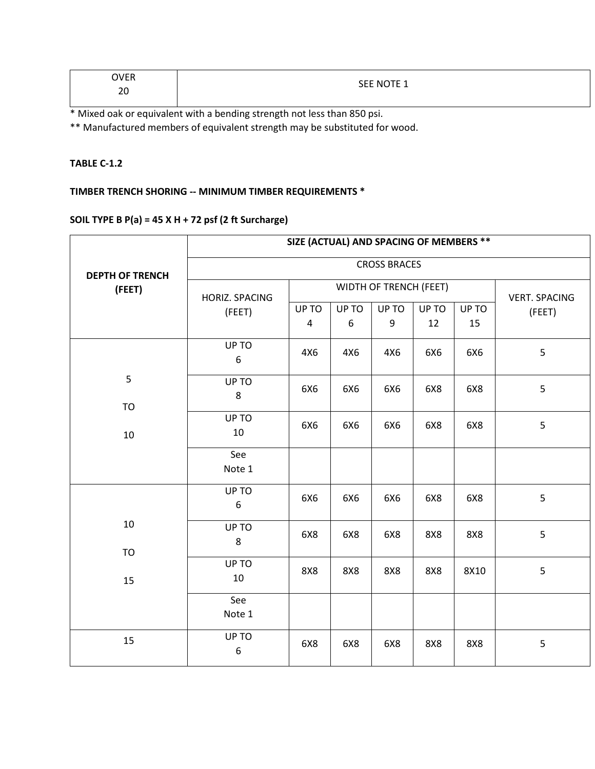| OVER<br>' E.N  | CEE MOTE             |
|----------------|----------------------|
| $\Omega$<br>∠∪ | <b>SEE NOTE</b><br>. |

\* Mixed oak or equivalent with a bending strength not less than 850 psi.

\*\* Manufactured members of equivalent strength may be substituted for wood.

#### **TABLE C-1.2**

## **TIMBER TRENCH SHORING -- MINIMUM TIMBER REQUIREMENTS \***

# **SOIL TYPE B P(a) = 45 X H + 72 psf (2 ft Surcharge)**

|                        |                           | SIZE (ACTUAL) AND SPACING OF MEMBERS ** |                        |                      |             |             |        |  |  |
|------------------------|---------------------------|-----------------------------------------|------------------------|----------------------|-------------|-------------|--------|--|--|
| <b>DEPTH OF TRENCH</b> | <b>CROSS BRACES</b>       |                                         |                        |                      |             |             |        |  |  |
| (FEET)                 | HORIZ. SPACING            |                                         | WIDTH OF TRENCH (FEET) | <b>VERT. SPACING</b> |             |             |        |  |  |
|                        | (FEET)                    | UP TO<br>$\overline{4}$                 | UP TO<br>6             | UP TO<br>9           | UP TO<br>12 | UP TO<br>15 | (FEET) |  |  |
|                        | UP TO<br>$\boldsymbol{6}$ | 4X6                                     | 4X6                    | 4X6                  | 6X6         | 6X6         | 5      |  |  |
| 5<br><b>TO</b>         | UP TO<br>$\bf 8$          | 6X6                                     | 6X6                    | 6X6                  | 6X8         | 6X8         | 5      |  |  |
| $10\,$                 | UP TO<br>$10\,$           | 6X6                                     | 6X6                    | 6X6                  | 6X8         | 6X8         | 5      |  |  |
|                        | See<br>Note 1             |                                         |                        |                      |             |             |        |  |  |
|                        | UP TO<br>$\boldsymbol{6}$ | 6X6                                     | 6X6                    | 6X6                  | 6X8         | 6X8         | 5      |  |  |
| 10<br><b>TO</b>        | UP TO<br>8                | 6X8                                     | 6X8                    | 6X8                  | <b>8X8</b>  | <b>8X8</b>  | 5      |  |  |
| 15                     | UP TO<br>$10\,$           | <b>8X8</b>                              | 8X8                    | 8X8                  | 8X8         | 8X10        | 5      |  |  |
|                        | See<br>Note 1             |                                         |                        |                      |             |             |        |  |  |
| 15                     | UP TO<br>6                | 6X8                                     | 6X8                    | 6X8                  | 8X8         | 8X8         | 5      |  |  |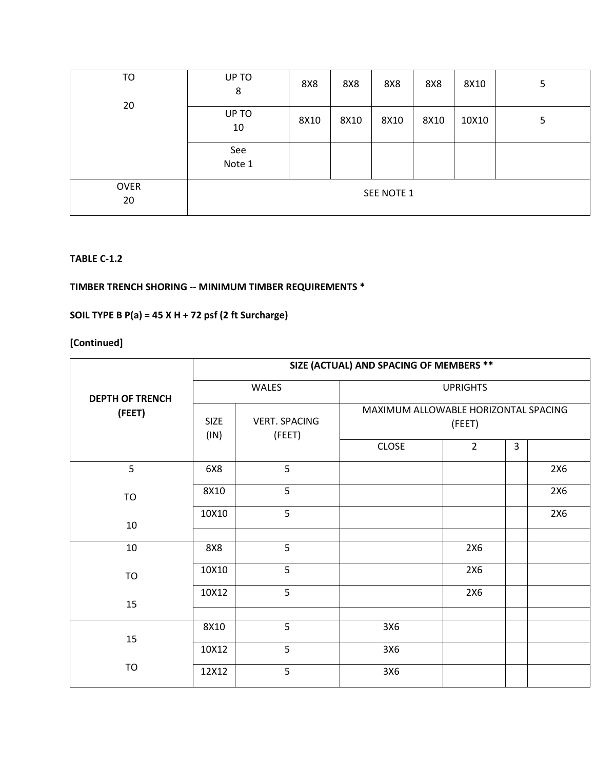| TO                | UP TO<br>8    | 8X8  | 8X8  | 8X8        | 8X8  | 8X10  | 5 |
|-------------------|---------------|------|------|------------|------|-------|---|
| 20                | UP TO<br>10   | 8X10 | 8X10 | 8X10       | 8X10 | 10X10 | 5 |
|                   | See<br>Note 1 |      |      |            |      |       |   |
| <b>OVER</b><br>20 |               |      |      | SEE NOTE 1 |      |       |   |

# **TIMBER TRENCH SHORING -- MINIMUM TIMBER REQUIREMENTS \***

# **SOIL TYPE B P(a) = 45 X H + 72 psf (2 ft Surcharge)**

|                        | SIZE (ACTUAL) AND SPACING OF MEMBERS ** |                                |                                                      |                          |   |     |  |  |  |  |
|------------------------|-----------------------------------------|--------------------------------|------------------------------------------------------|--------------------------|---|-----|--|--|--|--|
| <b>DEPTH OF TRENCH</b> |                                         | WALES                          | <b>UPRIGHTS</b>                                      |                          |   |     |  |  |  |  |
| (FEET)                 | <b>SIZE</b><br>(IN)                     | <b>VERT. SPACING</b><br>(FEET) | MAXIMUM ALLOWABLE HORIZONTAL SPACING<br><b>CLOSE</b> | (FEET)<br>$\overline{2}$ | 3 |     |  |  |  |  |
| 5                      | 6X8                                     | 5                              |                                                      |                          |   | 2X6 |  |  |  |  |
| <b>TO</b>              | 8X10                                    | 5                              |                                                      |                          |   | 2X6 |  |  |  |  |
| 10                     | 10X10                                   | 5                              |                                                      |                          |   | 2X6 |  |  |  |  |
| 10                     | 8X8                                     | 5                              |                                                      | 2X6                      |   |     |  |  |  |  |
| <b>TO</b>              | 10X10                                   | 5                              |                                                      | 2X6                      |   |     |  |  |  |  |
| 15                     | 10X12                                   | 5                              |                                                      | 2X6                      |   |     |  |  |  |  |
| 15                     | 8X10                                    | 5                              | 3X6                                                  |                          |   |     |  |  |  |  |
|                        | 10X12                                   | 5                              | 3X6                                                  |                          |   |     |  |  |  |  |
| <b>TO</b>              | 12X12                                   | 5                              | 3X6                                                  |                          |   |     |  |  |  |  |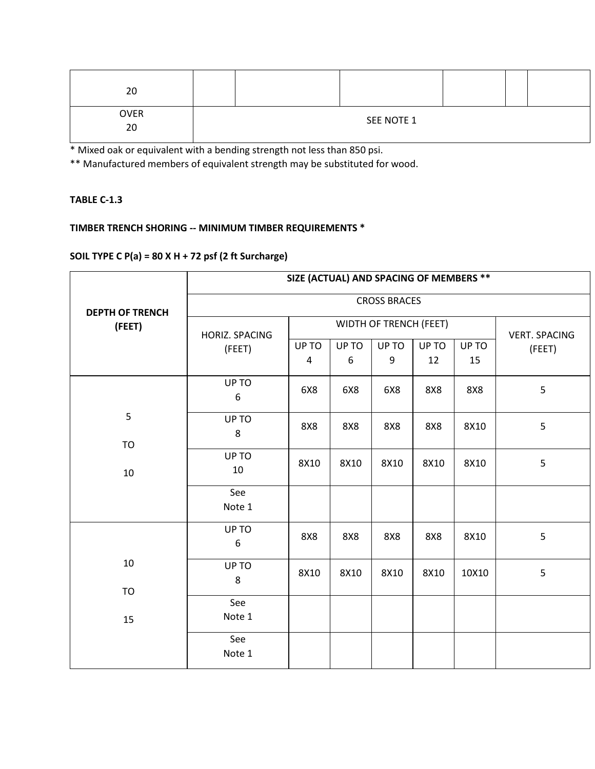| 20                |  |            |  |  |
|-------------------|--|------------|--|--|
| <b>OVER</b><br>20 |  | SEE NOTE 1 |  |  |
|                   |  |            |  |  |

\* Mixed oak or equivalent with a bending strength not less than 850 psi.

\*\* Manufactured members of equivalent strength may be substituted for wood.

#### **TABLE C-1.3**

# **TIMBER TRENCH SHORING -- MINIMUM TIMBER REQUIREMENTS \***

### **SOIL TYPE C P(a) = 80 X H + 72 psf (2 ft Surcharge)**

|                        | SIZE (ACTUAL) AND SPACING OF MEMBERS ** |            |            |                        |             |             |                      |  |  |
|------------------------|-----------------------------------------|------------|------------|------------------------|-------------|-------------|----------------------|--|--|
| <b>DEPTH OF TRENCH</b> | <b>CROSS BRACES</b>                     |            |            |                        |             |             |                      |  |  |
| (FEET)                 | HORIZ. SPACING                          |            |            | WIDTH OF TRENCH (FEET) |             |             | <b>VERT. SPACING</b> |  |  |
|                        | UP TO<br>(FEET)<br>4                    |            | UP TO<br>6 | UP TO<br>9             | UP TO<br>12 | UP TO<br>15 | (FEET)               |  |  |
|                        | UP TO<br>6                              | 6X8        | 6X8        | 6X8                    | <b>8X8</b>  | <b>8X8</b>  | 5                    |  |  |
| 5<br><b>TO</b>         | UP TO<br>8                              | <b>8X8</b> | <b>8X8</b> | <b>8X8</b>             | 8X8         | 8X10        | 5                    |  |  |
| 10                     | UP TO<br>10                             | 8X10       | 8X10       | 8X10                   | 8X10        | 8X10        | 5                    |  |  |
|                        | See<br>Note 1                           |            |            |                        |             |             |                      |  |  |
|                        | UP TO<br>6                              | <b>8X8</b> | <b>8X8</b> | <b>8X8</b>             | <b>8X8</b>  | 8X10        | 5                    |  |  |
| 10<br>TO               | UP TO<br>8                              | 8X10       | 8X10       | 8X10                   | 8X10        | 10X10       | 5                    |  |  |
| 15                     | See<br>Note 1                           |            |            |                        |             |             |                      |  |  |
|                        | See<br>Note 1                           |            |            |                        |             |             |                      |  |  |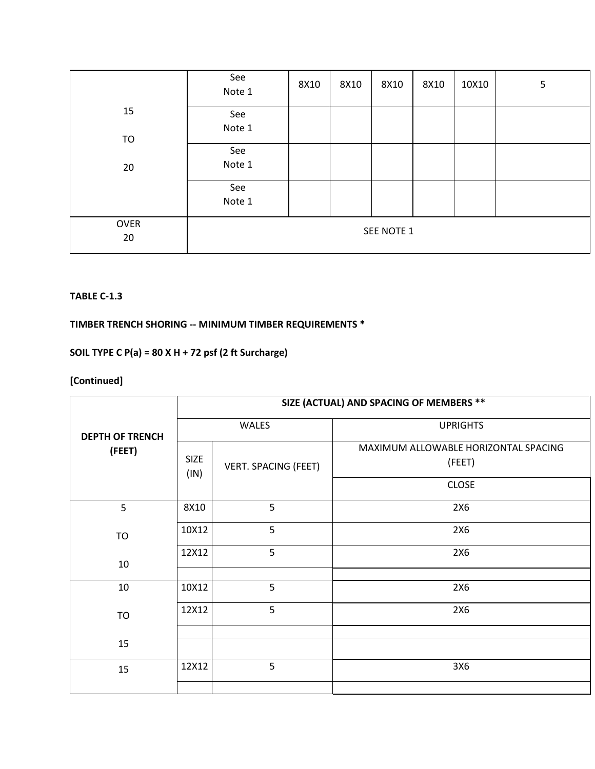|                   | See<br>Note 1 | 8X10 | 8X10 | 8X10       | 8X10 | 10X10 | 5 |
|-------------------|---------------|------|------|------------|------|-------|---|
| 15<br>TO          | See<br>Note 1 |      |      |            |      |       |   |
| 20                | See<br>Note 1 |      |      |            |      |       |   |
|                   | See<br>Note 1 |      |      |            |      |       |   |
| <b>OVER</b><br>20 |               |      |      | SEE NOTE 1 |      |       |   |

### **TIMBER TRENCH SHORING -- MINIMUM TIMBER REQUIREMENTS \***

# **SOIL TYPE C P(a) = 80 X H + 72 psf (2 ft Surcharge)**

|                        |                     | SIZE (ACTUAL) AND SPACING OF MEMBERS ** |                                                |  |  |  |  |  |  |  |
|------------------------|---------------------|-----------------------------------------|------------------------------------------------|--|--|--|--|--|--|--|
| <b>DEPTH OF TRENCH</b> |                     | WALES                                   | <b>UPRIGHTS</b>                                |  |  |  |  |  |  |  |
| (FEET)                 | <b>SIZE</b><br>(IN) | <b>VERT. SPACING (FEET)</b>             | MAXIMUM ALLOWABLE HORIZONTAL SPACING<br>(FEET) |  |  |  |  |  |  |  |
|                        |                     |                                         | <b>CLOSE</b>                                   |  |  |  |  |  |  |  |
| 5                      | 8X10                | 5                                       | 2X6                                            |  |  |  |  |  |  |  |
| <b>TO</b>              | 10X12               | 5                                       | 2X6                                            |  |  |  |  |  |  |  |
| 10                     | 12X12               | 5                                       | 2X6                                            |  |  |  |  |  |  |  |
| 10                     | 10X12               | 5                                       | 2X6                                            |  |  |  |  |  |  |  |
| <b>TO</b>              | 12X12               | 5                                       | 2X6                                            |  |  |  |  |  |  |  |
| 15                     |                     |                                         |                                                |  |  |  |  |  |  |  |
| 15                     | 12X12               | 5                                       | 3X6                                            |  |  |  |  |  |  |  |
|                        |                     |                                         |                                                |  |  |  |  |  |  |  |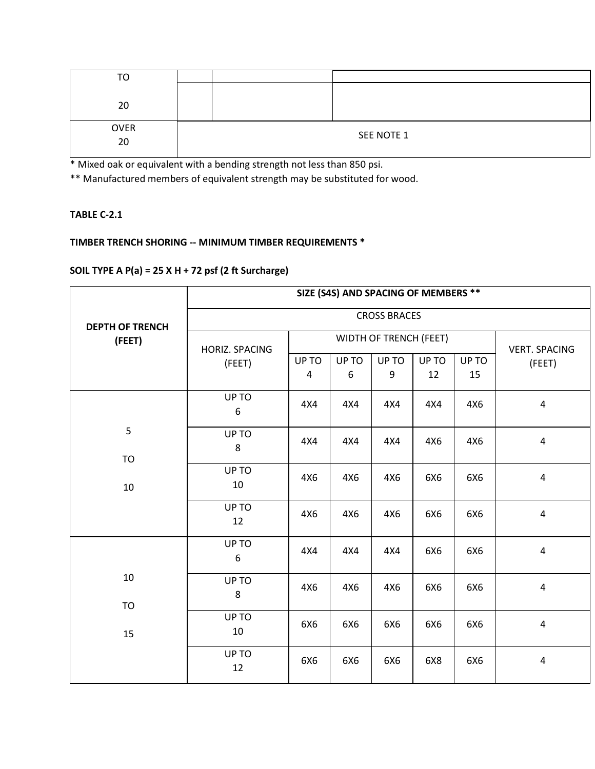| TO          |  |            |
|-------------|--|------------|
|             |  |            |
| 20          |  |            |
|             |  |            |
| <b>OVER</b> |  |            |
| 20          |  | SEE NOTE 1 |
|             |  |            |

\* Mixed oak or equivalent with a bending strength not less than 850 psi.

\*\* Manufactured members of equivalent strength may be substituted for wood.

### **TABLE C-2.1**

# **TIMBER TRENCH SHORING -- MINIMUM TIMBER REQUIREMENTS \***

# **SOIL TYPE A P(a) = 25 X H + 72 psf (2 ft Surcharge)**

|                                  | SIZE (S4S) AND SPACING OF MEMBERS ** |            |                        |                      |             |             |                         |  |  |
|----------------------------------|--------------------------------------|------------|------------------------|----------------------|-------------|-------------|-------------------------|--|--|
|                                  |                                      |            |                        | <b>CROSS BRACES</b>  |             |             |                         |  |  |
| <b>DEPTH OF TRENCH</b><br>(FEET) | <b>HORIZ. SPACING</b>                |            | WIDTH OF TRENCH (FEET) | <b>VERT. SPACING</b> |             |             |                         |  |  |
|                                  | (FEET)                               | UP TO<br>4 | UP TO<br>6             | UP TO<br>9           | UP TO<br>12 | UP TO<br>15 | (FEET)                  |  |  |
|                                  | UP TO<br>6                           | 4X4        | 4X4                    | 4X4                  | 4X4         | 4X6         | $\sqrt{4}$              |  |  |
| 5                                | UP TO<br>8                           | 4X4        | 4X4                    | 4X4                  | 4X6         | 4X6         | $\pmb{4}$               |  |  |
| <b>TO</b><br>10                  | UP TO<br>10                          | 4X6        | 4X6                    | 4X6                  | 6X6         | 6X6         | $\pmb{4}$               |  |  |
|                                  | UP TO<br>12                          | 4X6        | 4X6                    | 4X6                  | 6X6         | 6X6         | $\overline{4}$          |  |  |
|                                  | UP TO<br>6                           | 4X4        | 4X4                    | 4X4                  | 6X6         | 6X6         | $\overline{4}$          |  |  |
| 10<br><b>TO</b>                  | UP TO<br>8                           | 4X6        | 4X6                    | 4X6                  | 6X6         | 6X6         | $\overline{4}$          |  |  |
| 15                               | UP TO<br>10                          | 6X6        | 6X6                    | 6X6                  | 6X6         | 6X6         | $\overline{\mathbf{4}}$ |  |  |
|                                  | UP TO<br>12                          | 6X6        | 6X6                    | 6X6                  | 6X8         | 6X6         | $\pmb{4}$               |  |  |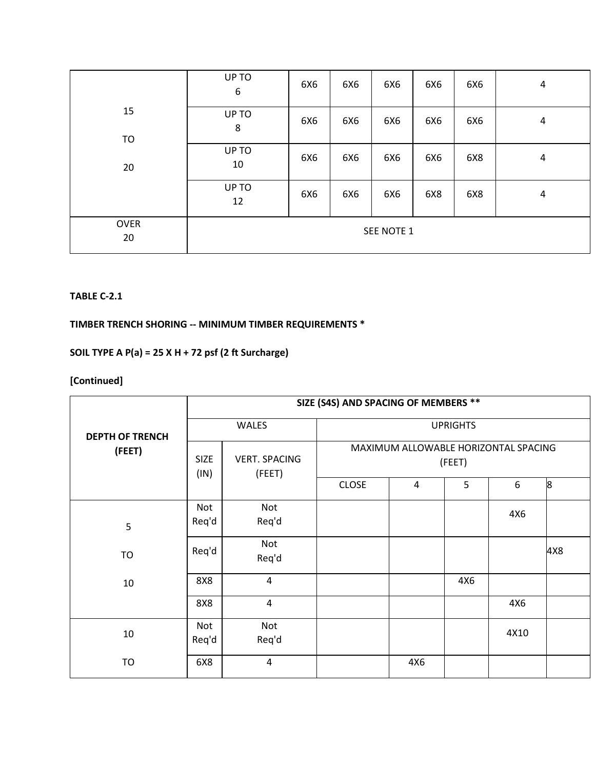|                   | UP TO<br>6  | 6X6 | 6X6 | 6X6 | 6X6 | 6X6 | 4 |
|-------------------|-------------|-----|-----|-----|-----|-----|---|
| 15<br>TO          | UP TO<br>8  | 6X6 | 6X6 | 6X6 | 6X6 | 6X6 | 4 |
| 20                | UP TO<br>10 | 6X6 | 6X6 | 6X6 | 6X6 | 6X8 | 4 |
|                   | UP TO<br>12 | 6X6 | 6X6 | 6X6 | 6X8 | 6X8 | 4 |
| <b>OVER</b><br>20 | SEE NOTE 1  |     |     |     |     |     |   |

#### **TABLE C-2.1**

### **TIMBER TRENCH SHORING -- MINIMUM TIMBER REQUIREMENTS \***

# **SOIL TYPE A P(a) = 25 X H + 72 psf (2 ft Surcharge)**

|                        |                               | SIZE (S4S) AND SPACING OF MEMBERS ** |                                                |     |     |      |     |  |  |
|------------------------|-------------------------------|--------------------------------------|------------------------------------------------|-----|-----|------|-----|--|--|
| <b>DEPTH OF TRENCH</b> |                               | <b>WALES</b>                         | <b>UPRIGHTS</b>                                |     |     |      |     |  |  |
| (FEET)                 | <b>SIZE</b><br>(FEET)<br>(IN) | <b>VERT. SPACING</b>                 | MAXIMUM ALLOWABLE HORIZONTAL SPACING<br>(FEET) |     |     |      |     |  |  |
|                        |                               | <b>CLOSE</b>                         | 4                                              | 5   | 6   | 8    |     |  |  |
| 5                      | Not<br>Req'd                  | Not<br>Req'd                         |                                                |     |     | 4X6  |     |  |  |
| TO                     | Req'd                         | Not<br>Req'd                         |                                                |     |     |      | 4X8 |  |  |
| 10                     | 8X8                           | $\overline{4}$                       |                                                |     | 4X6 |      |     |  |  |
|                        | 8X8                           | $\overline{4}$                       |                                                |     |     | 4X6  |     |  |  |
| 10                     | Not<br>Req'd                  | Not<br>Req'd                         |                                                |     |     | 4X10 |     |  |  |
| <b>TO</b>              | 6X8                           | $\overline{4}$                       |                                                | 4X6 |     |      |     |  |  |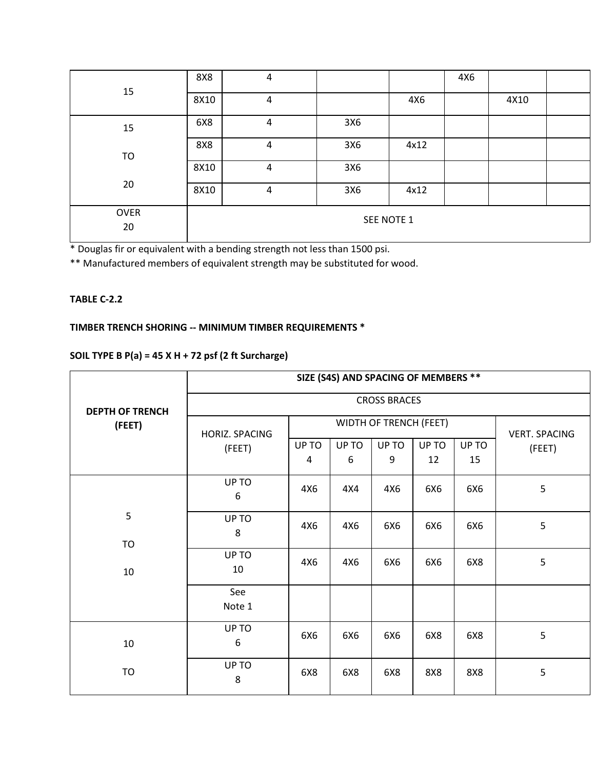| 15                | 8X8  | 4          |     |      | 4X6 |      |  |  |
|-------------------|------|------------|-----|------|-----|------|--|--|
|                   | 8X10 | 4          |     | 4X6  |     | 4X10 |  |  |
| 15                | 6X8  | 4          | 3X6 |      |     |      |  |  |
| TO                | 8X8  | 4          | 3X6 | 4x12 |     |      |  |  |
|                   | 8X10 | 4          | 3X6 |      |     |      |  |  |
| 20                | 8X10 | 4          | 3X6 | 4x12 |     |      |  |  |
| <b>OVER</b><br>20 |      | SEE NOTE 1 |     |      |     |      |  |  |

\* Douglas fir or equivalent with a bending strength not less than 1500 psi.

\*\* Manufactured members of equivalent strength may be substituted for wood.

#### **TABLE C-2.2**

### **TIMBER TRENCH SHORING -- MINIMUM TIMBER REQUIREMENTS \***

# **SOIL TYPE B P(a) = 45 X H + 72 psf (2 ft Surcharge)**

|                        | SIZE (S4S) AND SPACING OF MEMBERS ** |       |                        |                     |                      |       |        |  |  |  |
|------------------------|--------------------------------------|-------|------------------------|---------------------|----------------------|-------|--------|--|--|--|
| <b>DEPTH OF TRENCH</b> |                                      |       |                        | <b>CROSS BRACES</b> |                      |       |        |  |  |  |
| (FEET)                 | HORIZ. SPACING                       |       | WIDTH OF TRENCH (FEET) |                     | <b>VERT. SPACING</b> |       |        |  |  |  |
|                        | (FEET)                               | UP TO | UP TO                  | UP TO               | UP TO                | UP TO | (FEET) |  |  |  |
|                        |                                      | 4     | 6                      | 9                   | 12                   | 15    |        |  |  |  |
|                        | UP TO<br>6                           | 4X6   | 4X4                    | 4X6                 | 6X6                  | 6X6   | 5      |  |  |  |
| 5                      | UP TO<br>8                           | 4X6   | 4X6                    | 6X6                 | 6X6                  | 6X6   | 5      |  |  |  |
| <b>TO</b>              |                                      |       |                        |                     |                      |       |        |  |  |  |
| 10                     | UP TO<br>10                          | 4X6   | 4X6                    | 6X6                 | 6X6                  | 6X8   | 5      |  |  |  |
|                        |                                      |       |                        |                     |                      |       |        |  |  |  |
|                        | See<br>Note 1                        |       |                        |                     |                      |       |        |  |  |  |
| 10                     | UP TO<br>6                           | 6X6   | 6X6                    | 6X6                 | 6X8                  | 6X8   | 5      |  |  |  |
| TO                     | UP TO<br>8                           | 6X8   | 6X8                    | 6X8                 | <b>8X8</b>           | 8X8   | 5      |  |  |  |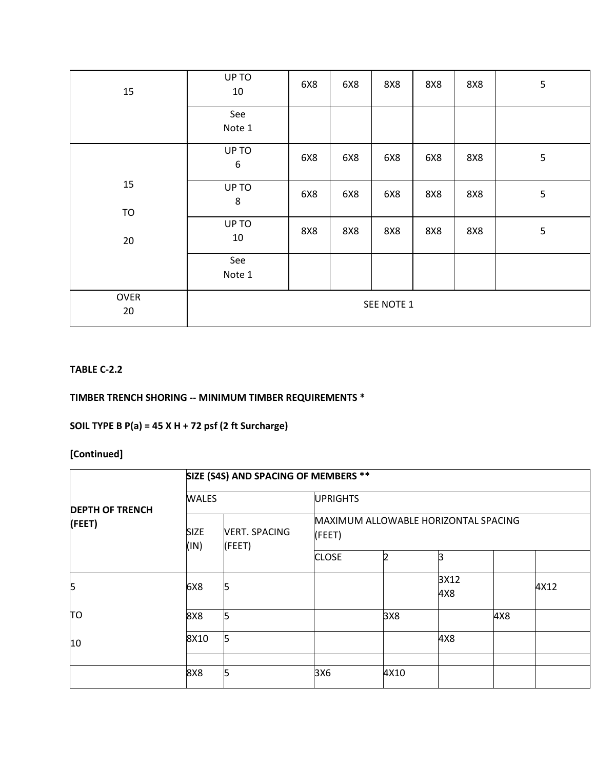| 15                | UP TO<br>10               | 6X8 | 6X8 | 8X8 | <b>8X8</b> | <b>8X8</b> | 5 |
|-------------------|---------------------------|-----|-----|-----|------------|------------|---|
|                   | See<br>Note 1             |     |     |     |            |            |   |
|                   | UP TO<br>$\boldsymbol{6}$ | 6X8 | 6X8 | 6X8 | 6X8        | 8X8        | 5 |
| 15<br>TO          | UP TO<br>$\,8$            | 6X8 | 6X8 | 6X8 | <b>8X8</b> | <b>8X8</b> | 5 |
| 20                | UP TO<br>10               | 8X8 | 8X8 | 8X8 | <b>8X8</b> | <b>8X8</b> | 5 |
|                   | See<br>Note 1             |     |     |     |            |            |   |
| <b>OVER</b><br>20 | SEE NOTE 1                |     |     |     |            |            |   |

## **TABLE C-2.2**

# **TIMBER TRENCH SHORING -- MINIMUM TIMBER REQUIREMENTS \***

# **SOIL TYPE B P(a) = 45 X H + 72 psf (2 ft Surcharge)**

|                                                         |      | SIZE (S4S) AND SPACING OF MEMBERS ** |                                                |                 |             |     |      |  |  |  |  |  |
|---------------------------------------------------------|------|--------------------------------------|------------------------------------------------|-----------------|-------------|-----|------|--|--|--|--|--|
| <b>DEPTH OF TRENCH</b><br>(FEET)<br><b>SIZE</b><br>(IN) |      | <b>WALES</b>                         |                                                | <b>UPRIGHTS</b> |             |     |      |  |  |  |  |  |
|                                                         |      | <b>VERT. SPACING</b><br>(FEET)       | MAXIMUM ALLOWABLE HORIZONTAL SPACING<br>(FEET) |                 |             |     |      |  |  |  |  |  |
|                                                         |      |                                      | <b>CLOSE</b>                                   |                 | 3           |     |      |  |  |  |  |  |
| 5                                                       | 6X8  | 5                                    |                                                |                 | 3X12<br>4X8 |     | 4X12 |  |  |  |  |  |
| TО                                                      | 8X8  | 5                                    |                                                | 3X8             |             | 4X8 |      |  |  |  |  |  |
| 10                                                      | 8X10 | 5                                    |                                                |                 | 4X8         |     |      |  |  |  |  |  |
|                                                         | 8X8  | 5                                    | 3X6                                            | 4X10            |             |     |      |  |  |  |  |  |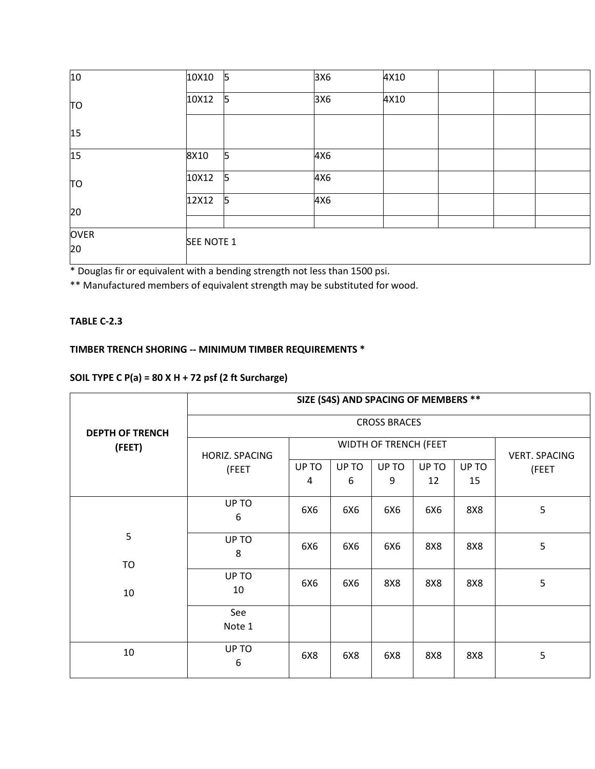| 10                | 10X10      | 15 | 3X6 | 4X10 |  |  |
|-------------------|------------|----|-----|------|--|--|
| TO                | 10X12      | 5  | 3X6 | 4X10 |  |  |
| 15                |            |    |     |      |  |  |
| 15                | 8X10       | 5  | 4X6 |      |  |  |
| TO                | 10X12      | 5  | 4X6 |      |  |  |
| 20                | 12X12      | 5  | 4X6 |      |  |  |
| <b>OVER</b><br>20 | SEE NOTE 1 |    |     |      |  |  |

\* Douglas fir or equivalent with a bending strength not less than 1500 psi.

\*\* Manufactured members of equivalent strength may be substituted for wood.

### **TABLE C-2.3**

# **TIMBER TRENCH SHORING -- MINIMUM TIMBER REQUIREMENTS \***

# **SOIL TYPE C P(a) = 80 X H + 72 psf (2 ft Surcharge)**

|                        | SIZE (S4S) AND SPACING OF MEMBERS ** |       |                       |                      |       |       |       |  |  |
|------------------------|--------------------------------------|-------|-----------------------|----------------------|-------|-------|-------|--|--|
| <b>DEPTH OF TRENCH</b> |                                      |       |                       | <b>CROSS BRACES</b>  |       |       |       |  |  |
| (FEET)                 | HORIZ. SPACING                       |       | WIDTH OF TRENCH (FEET | <b>VERT. SPACING</b> |       |       |       |  |  |
|                        | (FEET                                | UP TO | UP TO                 | UP TO                | UP TO | UP TO | (FEET |  |  |
|                        |                                      | 4     | 6                     | 9                    | 12    | 15    |       |  |  |
|                        | UP TO<br>6                           | 6X6   | 6X6                   | 6X6                  | 6X6   | 8X8   | 5     |  |  |
| 5                      | UP TO<br>8                           | 6X6   | 6X6                   | 6X6                  | 8X8   | 8X8   | 5     |  |  |
| <b>TO</b><br>10        | UP TO<br>10                          | 6X6   | 6X6                   | 8X8                  | 8X8   | 8X8   | 5     |  |  |
|                        | See<br>Note 1                        |       |                       |                      |       |       |       |  |  |
| 10                     | UP TO<br>6                           | 6X8   | 6X8                   | 6X8                  | 8X8   | 8X8   | 5     |  |  |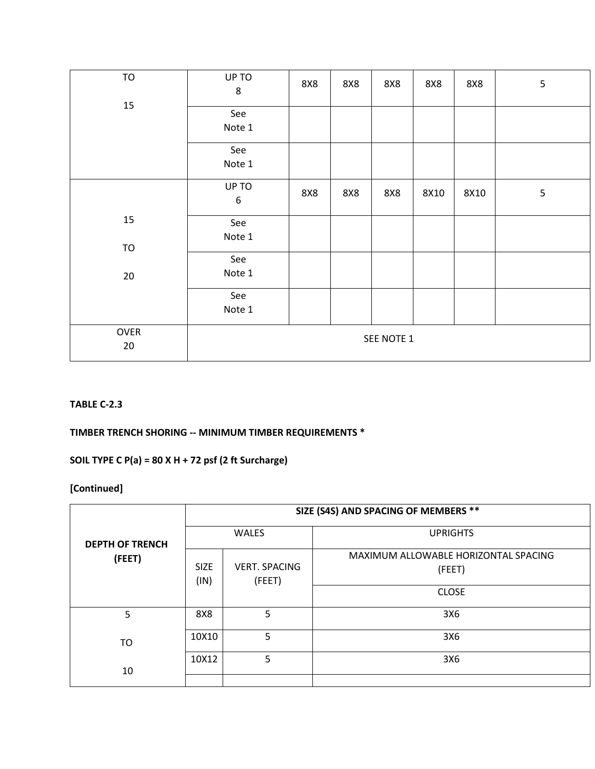| TO     | UP TO<br>$\bf 8$ | 8X8 | 8X8 | <b>8X8</b> | <b>8X8</b> | <b>8X8</b> | $\mathsf S$ |
|--------|------------------|-----|-----|------------|------------|------------|-------------|
| 15     | See              |     |     |            |            |            |             |
|        | Note 1           |     |     |            |            |            |             |
|        | See              |     |     |            |            |            |             |
|        | Note 1           |     |     |            |            |            |             |
|        | UP TO            |     |     |            |            |            |             |
|        | $\boldsymbol{6}$ | 8X8 | 8X8 | 8X8        | 8X10       | 8X10       | $\mathsf S$ |
| 15     | See              |     |     |            |            |            |             |
|        | Note 1           |     |     |            |            |            |             |
| TO     |                  |     |     |            |            |            |             |
|        | See              |     |     |            |            |            |             |
| $20\,$ | Note 1           |     |     |            |            |            |             |
|        | See              |     |     |            |            |            |             |
|        | Note 1           |     |     |            |            |            |             |
| OVER   | SEE NOTE 1       |     |     |            |            |            |             |
| $20\,$ |                  |     |     |            |            |            |             |
|        |                  |     |     |            |            |            |             |

#### **TABLE C-2.3**

## **TIMBER TRENCH SHORING -- MINIMUM TIMBER REQUIREMENTS \***

# **SOIL TYPE C P(a) = 80 X H + 72 psf (2 ft Surcharge)**

|                        | SIZE (S4S) AND SPACING OF MEMBERS **                  |                                                                |                 |  |  |  |  |  |
|------------------------|-------------------------------------------------------|----------------------------------------------------------------|-----------------|--|--|--|--|--|
| <b>DEPTH OF TRENCH</b> |                                                       | <b>WALES</b>                                                   | <b>UPRIGHTS</b> |  |  |  |  |  |
| (FEET)                 | <b>SIZE</b><br><b>VERT. SPACING</b><br>(IN)<br>(FEET) | MAXIMUM ALLOWABLE HORIZONTAL SPACING<br>(FEET)<br><b>CLOSE</b> |                 |  |  |  |  |  |
| 5                      | 8X8                                                   | 5                                                              | 3X6             |  |  |  |  |  |
| TO                     | 10X10                                                 | 5                                                              | 3X6             |  |  |  |  |  |
| 10                     | 10X12                                                 | 5                                                              | 3X6             |  |  |  |  |  |